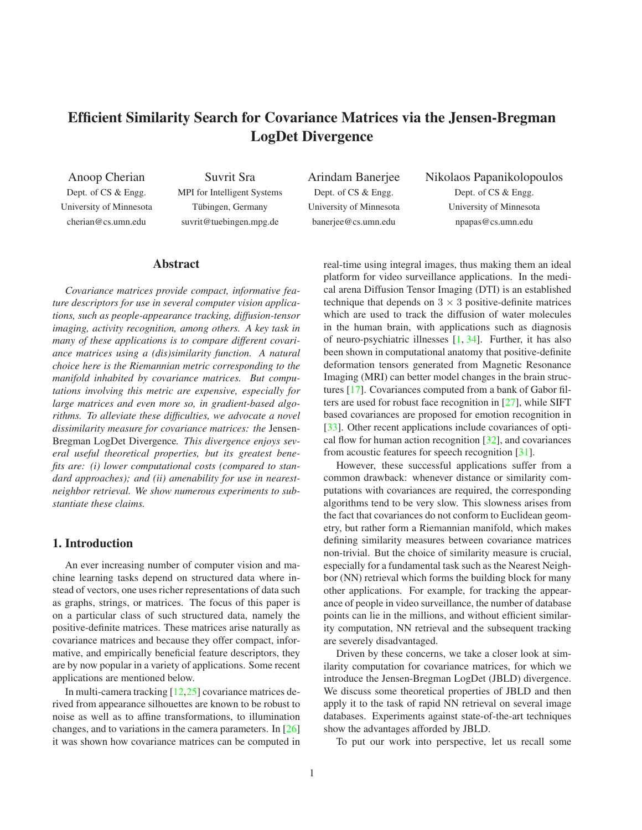# <span id="page-0-0"></span>**Efficient Similarity Search for Covariance Matrices via the Jensen-Bregman LogDet Divergence**

Anoop Cherian Dept. of CS & Engg. University of Minnesota cherian@cs.umn.edu

Suvrit Sra MPI for Intelligent Systems Tübingen, Germany suvrit@tuebingen.mpg.de

Arindam Banerjee Dept. of CS & Engg. University of Minnesota banerjee@cs.umn.edu

Nikolaos Papanikolopoulos Dept. of CS & Engg. University of Minnesota npapas@cs.umn.edu

# **Abstract**

*Covariance matrices provide compact, informative feature descriptors for use in several computer vision applications, such as people-appearance tracking, diffusion-tensor imaging, activity recognition, among others. A key task in many of these applications is to compare different covariance matrices using a (dis)similarity function. A natural choice here is the Riemannian metric corresponding to the manifold inhabited by covariance matrices. But computations involving this metric are expensive, especially for large matrices and even more so, in gradient-based algorithms. To alleviate these difficulties, we advocate a novel dissimilarity measure for covariance matrices: the* Jensen-Bregman LogDet Divergence*. This divergence enjoys several useful theoretical properties, but its greatest benefits are: (i) lower computational costs (compared to standard approaches); and (ii) amenability for use in nearestneighbor retrieval. We show numerous experiments to substantiate these claims.*

# **1. Introduction**

An ever increasing number of computer vision and machine learning tasks depend on structured data where instead of vectors, one uses richer representations of data such as graphs, strings, or matrices. The focus of this paper is on a particular class of such structured data, namely the positive-definite matrices. These matrices arise naturally as covariance matrices and because they offer compact, informative, and empirically beneficial feature descriptors, they are by now popular in a variety of applications. Some recent applications are mentioned below.

In multi-camera tracking [\[12,](#page-7-0)[25\]](#page-7-1) covariance matrices derived from appearance silhouettes are known to be robust to noise as well as to affine transformations, to illumination changes, and to variations in the camera parameters. In [\[26\]](#page-7-2) it was shown how covariance matrices can be computed in real-time using integral images, thus making them an ideal platform for video surveillance applications. In the medical arena Diffusion Tensor Imaging (DTI) is an established technique that depends on  $3 \times 3$  positive-definite matrices which are used to track the diffusion of water molecules in the human brain, with applications such as diagnosis of neuro-psychiatric illnesses [\[1,](#page-7-3) [34\]](#page-7-4). Further, it has also been shown in computational anatomy that positive-definite deformation tensors generated from Magnetic Resonance Imaging (MRI) can better model changes in the brain structures [\[17\]](#page-7-5). Covariances computed from a bank of Gabor filters are used for robust face recognition in [\[27\]](#page-7-6), while SIFT based covariances are proposed for emotion recognition in [\[33\]](#page-7-7). Other recent applications include covariances of optical flow for human action recognition [\[32\]](#page-7-8), and covariances from acoustic features for speech recognition [\[31\]](#page-7-9).

However, these successful applications suffer from a common drawback: whenever distance or similarity computations with covariances are required, the corresponding algorithms tend to be very slow. This slowness arises from the fact that covariances do not conform to Euclidean geometry, but rather form a Riemannian manifold, which makes defining similarity measures between covariance matrices non-trivial. But the choice of similarity measure is crucial, especially for a fundamental task such as the Nearest Neighbor (NN) retrieval which forms the building block for many other applications. For example, for tracking the appearance of people in video surveillance, the number of database points can lie in the millions, and without efficient similarity computation, NN retrieval and the subsequent tracking are severely disadvantaged.

Driven by these concerns, we take a closer look at similarity computation for covariance matrices, for which we introduce the Jensen-Bregman LogDet (JBLD) divergence. We discuss some theoretical properties of JBLD and then apply it to the task of rapid NN retrieval on several image databases. Experiments against state-of-the-art techniques show the advantages afforded by JBLD.

To put our work into perspective, let us recall some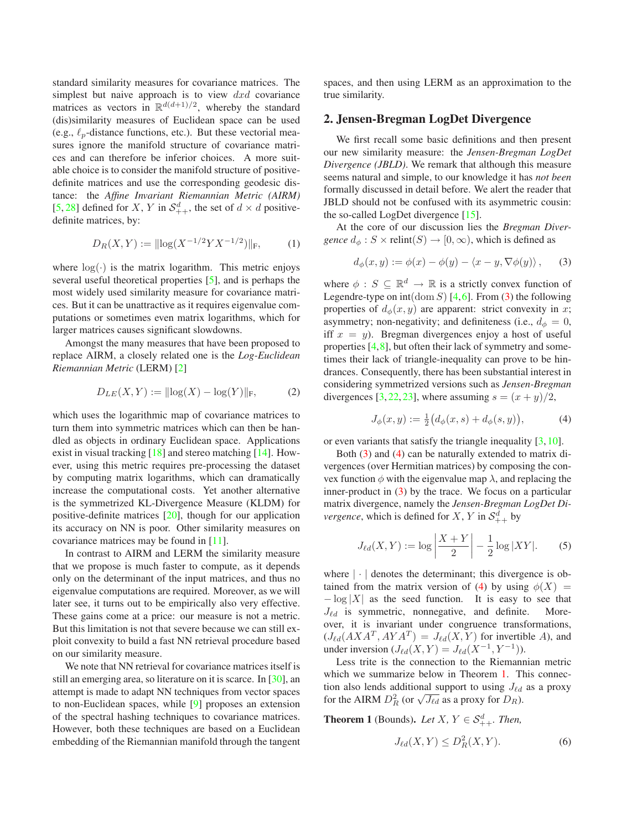<span id="page-1-4"></span>standard similarity measures for covariance matrices. The simplest but naive approach is to view  $dx\,$  covariance matrices as vectors in  $\mathbb{R}^{d(d+1)/2}$ , whereby the standard (dis)similarity measures of Euclidean space can be used (e.g.,  $\ell_p$ -distance functions, etc.). But these vectorial measures ignore the manifold structure of covariance matrices and can therefore be inferior choices. A more suitable choice is to consider the manifold structure of positivedefinite matrices and use the corresponding geodesic distance: the *Affine Invariant Riemannian Metric (AIRM)* [\[5,](#page-7-10) [28\]](#page-7-11) defined for X, Y in  $\mathcal{S}_{++}^d$ , the set of  $d \times d$  positivedefinite matrices, by:

$$
D_R(X,Y) := ||\log(X^{-1/2}YX^{-1/2})||_F,\tag{1}
$$

where  $log(·)$  is the matrix logarithm. This metric enjoys several useful theoretical properties [\[5\]](#page-7-10), and is perhaps the most widely used similarity measure for covariance matrices. But it can be unattractive as it requires eigenvalue computations or sometimes even matrix logarithms, which for larger matrices causes significant slowdowns.

Amongst the many measures that have been proposed to replace AIRM, a closely related one is the *Log-Euclidean Riemannian Metric* (LERM) [\[2\]](#page-7-12)

$$
D_{LE}(X, Y) := ||\log(X) - \log(Y)||_F,\tag{2}
$$

which uses the logarithmic map of covariance matrices to turn them into symmetric matrices which can then be handled as objects in ordinary Euclidean space. Applications exist in visual tracking [\[18\]](#page-7-13) and stereo matching [\[14\]](#page-7-14). However, using this metric requires pre-processing the dataset by computing matrix logarithms, which can dramatically increase the computational costs. Yet another alternative is the symmetrized KL-Divergence Measure (KLDM) for positive-definite matrices [\[20\]](#page-7-15), though for our application its accuracy on NN is poor. Other similarity measures on covariance matrices may be found in [\[11\]](#page-7-16).

In contrast to AIRM and LERM the similarity measure that we propose is much faster to compute, as it depends only on the determinant of the input matrices, and thus no eigenvalue computations are required. Moreover, as we will later see, it turns out to be empirically also very effective. These gains come at a price: our measure is not a metric. But this limitation is not that severe because we can still exploit convexity to build a fast NN retrieval procedure based on our similarity measure.

We note that NN retrieval for covariance matrices itself is still an emerging area, so literature on it is scarce. In [\[30\]](#page-7-17), an attempt is made to adapt NN techniques from vector spaces to non-Euclidean spaces, while [\[9\]](#page-7-18) proposes an extension of the spectral hashing techniques to covariance matrices. However, both these techniques are based on a Euclidean embedding of the Riemannian manifold through the tangent spaces, and then using LERM as an approximation to the true similarity.

## **2. Jensen-Bregman LogDet Divergence**

We first recall some basic definitions and then present our new similarity measure: the *Jensen-Bregman LogDet Divergence (JBLD)*. We remark that although this measure seems natural and simple, to our knowledge it has *not been* formally discussed in detail before. We alert the reader that JBLD should not be confused with its asymmetric cousin: the so-called LogDet divergence [\[15\]](#page-7-19).

At the core of our discussion lies the *Bregman Divergence*  $d_{\phi}: S \times \text{relint}(S) \rightarrow [0, \infty)$ , which is defined as

<span id="page-1-0"></span>
$$
d_{\phi}(x, y) := \phi(x) - \phi(y) - \langle x - y, \nabla \phi(y) \rangle, \quad (3)
$$

where  $\phi : S \subseteq \mathbb{R}^d \to \mathbb{R}$  is a strictly convex function of Legendre-type on  $int(\text{dom } S)$  [\[4,](#page-7-20)[6\]](#page-7-21). From [\(3\)](#page-1-0) the following properties of  $d_{\phi}(x, y)$  are apparent: strict convexity in x; asymmetry; non-negativity; and definiteness (i.e.,  $d_{\phi} = 0$ , iff  $x = y$ ). Bregman divergences enjoy a host of useful properties  $[4,8]$  $[4,8]$ , but often their lack of symmetry and sometimes their lack of triangle-inequality can prove to be hindrances. Consequently, there has been substantial interest in considering symmetrized versions such as *Jensen-Bregman* divergences [\[3,](#page-7-23) [22,](#page-7-24) [23\]](#page-7-25), where assuming  $s = (x + y)/2$ ,

<span id="page-1-1"></span>
$$
J_{\phi}(x, y) := \frac{1}{2} \big( d_{\phi}(x, s) + d_{\phi}(s, y) \big), \tag{4}
$$

or even variants that satisfy the triangle inequality [\[3,](#page-7-23) [10\]](#page-7-26).

Both [\(3\)](#page-1-0) and [\(4\)](#page-1-1) can be naturally extended to matrix divergences (over Hermitian matrices) by composing the convex function  $\phi$  with the eigenvalue map  $\lambda$ , and replacing the inner-product in  $(3)$  by the trace. We focus on a particular matrix divergence, namely the *Jensen-Bregman LogDet Divergence*, which is defined for  $X$ ,  $Y$  in  $\mathcal{S}_{++}^d$  by

$$
J_{\ell d}(X,Y) := \log \left| \frac{X+Y}{2} \right| - \frac{1}{2} \log |XY|.
$$
 (5)

where  $|\cdot|$  denotes the determinant; this divergence is ob-tained from the matrix version of [\(4\)](#page-1-1) by using  $\phi(X)$  =  $-\log |X|$  as the seed function. It is easy to see that  $J_{\ell d}$  is symmetric, nonnegative, and definite. More- $J_{\ell d}$  is symmetric, nonnegative, and definite. over, it is invariant under congruence transformations,  $(J_{\ell d}(AXA^T, AYA^T) = J_{\ell d}(X, Y)$  for invertible A), and under inversion  $(J_{\ell d}(X, Y) = J_{\ell d}(X^{-1}, Y^{-1}))$ .

Less trite is the connection to the Riemannian metric which we summarize below in Theorem [1.](#page-1-2) This connection also lends additional support to using  $J_{\ell d}$  as a proxy for the AIRM  $D_R^2$  (or  $\sqrt{J_{\ell d}}$  as a proxy for  $D_R$ ).

<span id="page-1-2"></span>**Theorem 1** (Bounds). Let  $X, Y \in S^d_{++}$ . Then,

<span id="page-1-3"></span>
$$
J_{\ell d}(X,Y) \le D_R^2(X,Y). \tag{6}
$$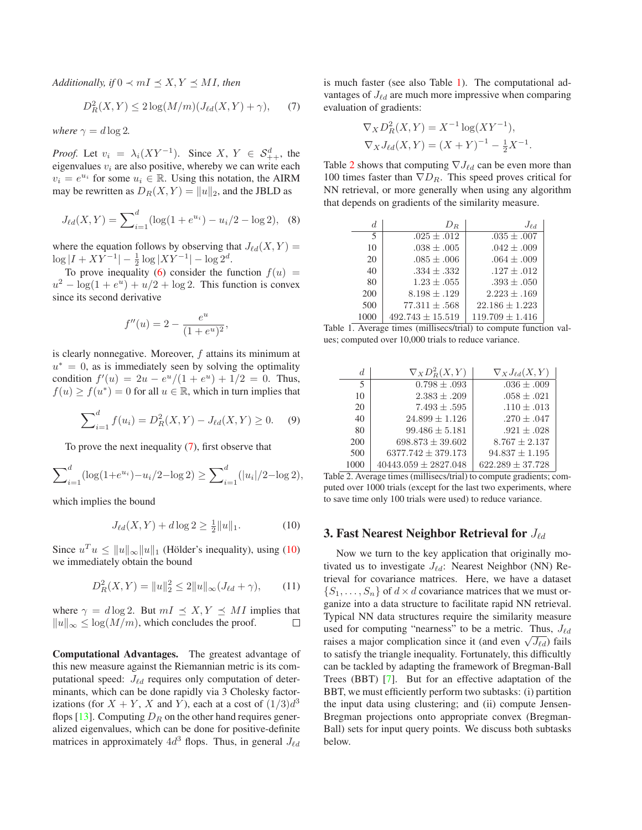<span id="page-2-4"></span>*Additionally, if*  $0 \prec mI \preceq X, Y \preceq MI$ *, then* 

<span id="page-2-0"></span>
$$
D_R^2(X,Y) \le 2\log(M/m)(J_{\ell d}(X,Y) + \gamma), \qquad (7)
$$

*where*  $\gamma = d \log 2$ *.* 

*Proof.* Let  $v_i = \lambda_i (XY^{-1})$ . Since  $X, Y \in S^d_{++}$ , the eigenvalues  $v_i$  are also positive, whereby we can write each  $v_i = e^{u_i}$  for some  $u_i \in \mathbb{R}$ . Using this notation, the AIRM may be rewritten as  $D_R(X, Y) = ||u||_2$ , and the JBLD as

$$
J_{\ell d}(X,Y) = \sum_{i=1}^{d} (\log(1 + e^{u_i}) - u_i/2 - \log 2), \quad (8)
$$

where the equation follows by observing that  $J_{\ell d}(X, Y) =$  $\log |I + XY^{-1}| - \frac{1}{2} \log |XY^{-1}| - \log 2^d$ .

To prove inequality [\(6\)](#page-1-3) consider the function  $f(u)$  =  $u^2 - \log(1 + e^u) + u/2 + \log 2$ . This function is convex since its second derivative

$$
f''(u) = 2 - \frac{e^u}{(1 + e^u)^2},
$$

is clearly nonnegative. Moreover, f attains its minimum at  $u^* = 0$ , as is immediately seen by solving the optimality condition  $f'(u) = 2u - e^u/(1 + e^u) + 1/2 = 0$ . Thus,  $f(u) \ge f(u^*) = 0$  for all  $u \in \mathbb{R}$ , which in turn implies that

$$
\sum_{i=1}^{d} f(u_i) = D_R^2(X, Y) - J_{\ell d}(X, Y) \ge 0.
$$
 (9)

To prove the next inequality [\(7\)](#page-2-0), first observe that

$$
\sum_{i=1}^{d} (\log(1+e^{u_i}) - u_i/2 - \log 2) \ge \sum_{i=1}^{d} (|u_i|/2 - \log 2),
$$

which implies the bound

<span id="page-2-1"></span>
$$
J_{\ell d}(X, Y) + d \log 2 \ge \frac{1}{2} ||u||_1.
$$
 (10)

Since  $u^T u \le ||u||_{\infty} ||u||_1$  (Hölder's inequality), using ([10\)](#page-2-1) we immediately obtain the bound

$$
D_R^2(X, Y) = ||u||_2^2 \le 2||u||_{\infty}(J_{\ell d} + \gamma), \qquad (11)
$$

where  $\gamma = d \log 2$ . But  $mI \preceq X, Y \preceq MI$  implies that  $||u||_{\infty} \leq \log(M/m)$ , which concludes the proof.  $\|u\|_{\infty} \leq \log(M/m)$ , which concludes the proof.

**Computational Advantages.** The greatest advantage of this new measure against the Riemannian metric is its computational speed:  $J_{\ell d}$  requires only computation of determinants, which can be done rapidly via 3 Cholesky factorizations (for  $X + Y$ , X and Y), each at a cost of  $(1/3)d^3$ flops [\[13\]](#page-7-27). Computing  $D_R$  on the other hand requires generalized eigenvalues, which can be done for positive-definite matrices in approximately  $4d<sup>3</sup>$  flops. Thus, in general  $J_{\ell d}$ 

is much faster (see also Table [1\)](#page-2-2). The computational advantages of  $J_{\ell d}$  are much more impressive when comparing evaluation of gradients:

$$
\nabla_X D_R^2(X, Y) = X^{-1} \log(XY^{-1}),
$$
  

$$
\nabla_X J_{\ell d}(X, Y) = (X + Y)^{-1} - \frac{1}{2}X^{-1}
$$

.

Table [2](#page-2-3) shows that computing  $\nabla J_{\ell d}$  can be even more than 100 times faster than  $\nabla D_R$ . This speed proves critical for NN retrieval, or more generally when using any algorithm that depends on gradients of the similarity measure.

| d.   | $D_R$                | $J_{\ell d}$        |
|------|----------------------|---------------------|
| 5    | $.025 \pm .012$      | $.035 \pm .007$     |
| 10   | $.038 \pm .005$      | $.042 \pm .009$     |
| 20   | $.085 \pm .006$      | $.064 \pm .009$     |
| 40   | $.334 \pm .332$      | $.127 \pm .012$     |
| 80   | $1.23 \pm .055$      | $.393 \pm .050$     |
| 200  | $8.198 \pm .129$     | $2.223 \pm .169$    |
| 500  | $77.311 \pm .568$    | $22.186 \pm 1.223$  |
| 1000 | $492.743 \pm 15.519$ | $119.709 \pm 1.416$ |

<span id="page-2-2"></span>Table 1. Average times (millisecs/trial) to compute function values; computed over 10,000 trials to reduce variance.

| d.   | $\nabla_X D^2_R(X,Y)$    | $\nabla_X J_{\ell d}(X, Y)$ |
|------|--------------------------|-----------------------------|
| 5    | $0.798 \pm .093$         | $.036 \pm .009$             |
| 10   | $2.383 \pm .209$         | $.058 \pm .021$             |
| 20   | $7.493 \pm .595$         | $.110 \pm .013$             |
| 40   | $24.899 \pm 1.126$       | $.270 \pm .047$             |
| 80   | $99.486 \pm 5.181$       | $.921 \pm .028$             |
| 200  | $698.873 \pm 39.602$     | $8.767 \pm 2.137$           |
| 500  | $6377.742 \pm 379.173$   | $94.837 \pm 1.195$          |
| 1000 | $40443.059 \pm 2827.048$ | $622.289 \pm 37.728$        |

<span id="page-2-3"></span>Table 2. Average times (millisecs/trial) to compute gradients; computed over 1000 trials (except for the last two experiments, where to save time only 100 trials were used) to reduce variance.

#### **3. Fast Nearest Neighbor Retrieval for** Jℓd

Now we turn to the key application that originally motivated us to investigate  $J_{\ell d}$ : Nearest Neighbor (NN) Retrieval for covariance matrices. Here, we have a dataset  $\{S_1, \ldots, S_n\}$  of  $d \times d$  covariance matrices that we must organize into a data structure to facilitate rapid NN retrieval. Typical NN data structures require the similarity measure used for computing "nearness" to be a metric. Thus,  $J_{\ell d}$ raises a major complication since it (and even  $\sqrt{J_{\ell d}}$ ) fails to satisfy the triangle inequality. Fortunately, this difficultly can be tackled by adapting the framework of Bregman-Ball Trees (BBT) [\[7\]](#page-7-28). But for an effective adaptation of the BBT, we must efficiently perform two subtasks: (i) partition the input data using clustering; and (ii) compute Jensen-Bregman projections onto appropriate convex (Bregman-Ball) sets for input query points. We discuss both subtasks below.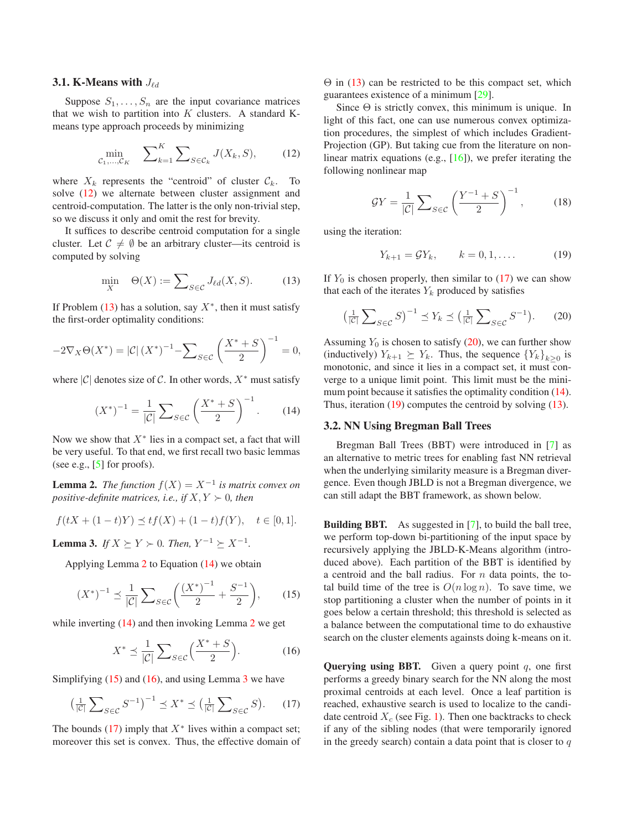#### <span id="page-3-10"></span>**3.1. K-Means with**  $J_{\ell d}$

Suppose  $S_1, \ldots, S_n$  are the input covariance matrices that we wish to partition into  $K$  clusters. A standard Kmeans type approach proceeds by minimizing

<span id="page-3-0"></span>
$$
\min_{\mathcal{C}_1,\dots,\mathcal{C}_K} \quad \sum\nolimits_{k=1}^K \sum\nolimits_{S \in \mathcal{C}_k} J(X_k, S), \tag{12}
$$

where  $X_k$  represents the "centroid" of cluster  $C_k$ . To solve [\(12\)](#page-3-0) we alternate between cluster assignment and centroid-computation. The latter is the only non-trivial step, so we discuss it only and omit the rest for brevity.

It suffices to describe centroid computation for a single cluster. Let  $\mathcal{C} \neq \emptyset$  be an arbitrary cluster—its centroid is computed by solving

<span id="page-3-1"></span>
$$
\min_{X} \quad \Theta(X) := \sum_{S \in \mathcal{C}} J_{\ell d}(X, S). \tag{13}
$$

If Problem  $(13)$  has a solution, say  $X^*$ , then it must satisfy the first-order optimality conditions:

$$
-2\nabla_X \Theta(X^*) = |\mathcal{C}| (X^*)^{-1} - \sum_{S \in \mathcal{C}} \left( \frac{X^* + S}{2} \right)^{-1} = 0,
$$

where  $|\mathcal{C}|$  denotes size of  $\mathcal{C}$ . In other words,  $X^*$  must satisfy

<span id="page-3-3"></span>
$$
(X^*)^{-1} = \frac{1}{|C|} \sum_{S \in C} \left(\frac{X^* + S}{2}\right)^{-1}.
$$
 (14)

Now we show that  $X^*$  lies in a compact set, a fact that will be very useful. To that end, we first recall two basic lemmas (see e.g.,  $[5]$  for proofs).

<span id="page-3-2"></span>**Lemma 2.** *The function*  $f(X) = X^{-1}$  *is matrix convex on positive-definite matrices, i.e., if*  $X, Y \succ 0$ *, then* 

$$
f(tX + (1-t)Y) \preceq tf(X) + (1-t)f(Y), \quad t \in [0,1].
$$

<span id="page-3-6"></span>**Lemma 3.** *If*  $X \succeq Y \succ 0$ *. Then,*  $Y^{-1} \succeq X^{-1}$ *.* 

Applying Lemma [2](#page-3-2) to Equation [\(14\)](#page-3-3) we obtain

<span id="page-3-4"></span>
$$
(X^*)^{-1} \le \frac{1}{|\mathcal{C}|} \sum_{S \in \mathcal{C}} \left( \frac{(X^*)^{-1}}{2} + \frac{S^{-1}}{2} \right), \qquad (15)
$$

while inverting  $(14)$  and then invoking Lemma [2](#page-3-2) we get

<span id="page-3-5"></span>
$$
X^* \le \frac{1}{|\mathcal{C}|} \sum_{S \in \mathcal{C}} \left( \frac{X^* + S}{2} \right). \tag{16}
$$

Simplifying  $(15)$  and  $(16)$ , and using Lemma [3](#page-3-6) we have

<span id="page-3-7"></span>
$$
\left(\frac{1}{|\mathcal{C}|}\sum_{S\in\mathcal{C}}S^{-1}\right)^{-1} \preceq X^* \preceq \left(\frac{1}{|\mathcal{C}|}\sum_{S\in\mathcal{C}}S\right). \tag{17}
$$

The bounds [\(17\)](#page-3-7) imply that  $X^*$  lives within a compact set; moreover this set is convex. Thus, the effective domain of  $\Theta$  in [\(13\)](#page-3-1) can be restricted to be this compact set, which guarantees existence of a minimum [\[29\]](#page-7-29).

Since  $\Theta$  is strictly convex, this minimum is unique. In light of this fact, one can use numerous convex optimization procedures, the simplest of which includes Gradient-Projection (GP). But taking cue from the literature on nonlinear matrix equations (e.g.,  $[16]$ ), we prefer iterating the following nonlinear map

$$
\mathcal{G}Y = \frac{1}{|\mathcal{C}|} \sum_{S \in \mathcal{C}} \left( \frac{Y^{-1} + S}{2} \right)^{-1},\tag{18}
$$

using the iteration:

<span id="page-3-9"></span>
$$
Y_{k+1} = \mathcal{G}Y_k, \qquad k = 0, 1, ....
$$
 (19)

If  $Y_0$  is chosen properly, then similar to [\(17\)](#page-3-7) we can show that each of the iterates  $Y_k$  produced by satisfies

<span id="page-3-8"></span>
$$
\left(\frac{1}{|\mathcal{C}|}\sum_{S\in\mathcal{C}}S\right)^{-1}\preceq Y_k \preceq \left(\frac{1}{|\mathcal{C}|}\sum_{S\in\mathcal{C}}S^{-1}\right). \tag{20}
$$

Assuming  $Y_0$  is chosen to satisfy [\(20\)](#page-3-8), we can further show (inductively)  $Y_{k+1} \succeq Y_k$ . Thus, the sequence  ${Y_k}_{k \geq 0}$  is monotonic, and since it lies in a compact set, it must converge to a unique limit point. This limit must be the minimum point because it satisfies the optimality condition  $(14)$ . Thus, iteration [\(19\)](#page-3-9) computes the centroid by solving [\(13\)](#page-3-1).

## **3.2. NN Using Bregman Ball Trees**

Bregman Ball Trees (BBT) were introduced in [\[7\]](#page-7-28) as an alternative to metric trees for enabling fast NN retrieval when the underlying similarity measure is a Bregman divergence. Even though JBLD is not a Bregman divergence, we can still adapt the BBT framework, as shown below.

**Building BBT.** As suggested in [\[7\]](#page-7-28), to build the ball tree, we perform top-down bi-partitioning of the input space by recursively applying the JBLD-K-Means algorithm (introduced above). Each partition of the BBT is identified by a centroid and the ball radius. For  $n$  data points, the total build time of the tree is  $O(n \log n)$ . To save time, we stop partitioning a cluster when the number of points in it goes below a certain threshold; this threshold is selected as a balance between the computational time to do exhaustive search on the cluster elements againsts doing k-means on it.

**Querving using BBT.** Given a query point  $q$ , one first performs a greedy binary search for the NN along the most proximal centroids at each level. Once a leaf partition is reached, exhaustive search is used to localize to the candidate centroid  $X_c$  (see Fig. [1\)](#page-4-0). Then one backtracks to check if any of the sibling nodes (that were temporarily ignored in the greedy search) contain a data point that is closer to  $q$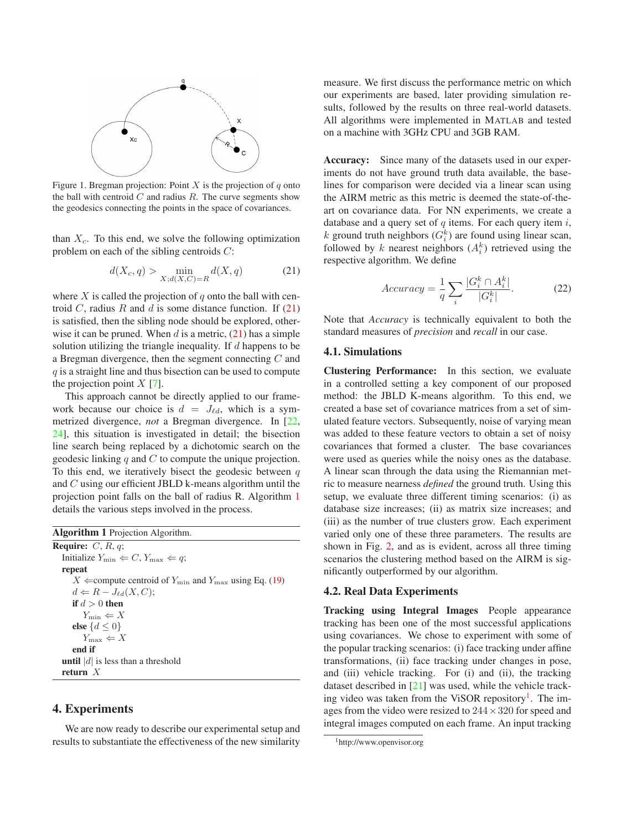<span id="page-4-4"></span>

<span id="page-4-0"></span>Figure 1. Bregman projection: Point X is the projection of  $q$  onto the ball with centroid  $C$  and radius  $R$ . The curve segments show the geodesics connecting the points in the space of covariances.

than  $X_c$ . To this end, we solve the following optimization problem on each of the sibling centroids C:

<span id="page-4-1"></span>
$$
d(X_c, q) > \min_{X; d(X, C) = R} d(X, q)
$$
\n<sup>(21)</sup>

where  $X$  is called the projection of  $q$  onto the ball with centroid C, radius R and d is some distance function. If  $(21)$ is satisfied, then the sibling node should be explored, otherwise it can be pruned. When  $d$  is a metric,  $(21)$  has a simple solution utilizing the triangle inequality. If  $d$  happens to be a Bregman divergence, then the segment connecting C and  $q$  is a straight line and thus bisection can be used to compute the projection point  $X$  [\[7\]](#page-7-28).

This approach cannot be directly applied to our framework because our choice is  $d = J_{\ell d}$ , which is a symmetrized divergence, *not* a Bregman divergence. In [\[22,](#page-7-24) [24\]](#page-7-31), this situation is investigated in detail; the bisection line search being replaced by a dichotomic search on the geodesic linking q and  $C$  to compute the unique projection. To this end, we iteratively bisect the geodesic between  $q$ and C using our efficient JBLD k-means algorithm until the projection point falls on the ball of radius R. Algorithm [1](#page-4-2) details the various steps involved in the process.

<span id="page-4-2"></span>

| <b>Algorithm 1</b> Projection Algorithm.                                    |
|-----------------------------------------------------------------------------|
| <b>Require:</b> $C, R, q$ ;                                                 |
| Initialize $Y_{\min} \Leftarrow C$ , $Y_{\max} \Leftarrow q$ ;              |
| repeat                                                                      |
| X $\Leftarrow$ compute centroid of $Y_{\min}$ and $Y_{\max}$ using Eq. (19) |
| $d \Leftarrow R - J_{\ell d}(X, C);$                                        |
| if $d>0$ then                                                               |
| $Y_{\min} \Leftarrow X$                                                     |
| else $\{d \leq 0\}$                                                         |
| $Y_{\max} \Leftarrow X$                                                     |
| end if                                                                      |
| <b>until</b>  d  is less than a threshold                                   |
| return $X$                                                                  |

# **4. Experiments**

We are now ready to describe our experimental setup and results to substantiate the effectiveness of the new similarity measure. We first discuss the performance metric on which our experiments are based, later providing simulation results, followed by the results on three real-world datasets. All algorithms were implemented in MATLAB and tested on a machine with 3GHz CPU and 3GB RAM.

**Accuracy:** Since many of the datasets used in our experiments do not have ground truth data available, the baselines for comparison were decided via a linear scan using the AIRM metric as this metric is deemed the state-of-theart on covariance data. For NN experiments, we create a database and a query set of  $q$  items. For each query item  $i$ , k ground truth neighbors  $(G_i^k)$  are found using linear scan, followed by k nearest neighbors  $(A_i^k)$  retrieved using the respective algorithm. We define

$$
Accuracy = \frac{1}{q} \sum_{i} \frac{|G_i^k \cap A_i^k|}{|G_i^k|}.
$$
 (22)

Note that *Accuracy* is technically equivalent to both the standard measures of *precision* and *recall* in our case.

#### **4.1. Simulations**

**Clustering Performance:** In this section, we evaluate in a controlled setting a key component of our proposed method: the JBLD K-means algorithm. To this end, we created a base set of covariance matrices from a set of simulated feature vectors. Subsequently, noise of varying mean was added to these feature vectors to obtain a set of noisy covariances that formed a cluster. The base covariances were used as queries while the noisy ones as the database. A linear scan through the data using the Riemannian metric to measure nearness *defined* the ground truth. Using this setup, we evaluate three different timing scenarios: (i) as database size increases; (ii) as matrix size increases; and (iii) as the number of true clusters grow. Each experiment varied only one of these three parameters. The results are shown in Fig. [2,](#page-5-0) and as is evident, across all three timing scenarios the clustering method based on the AIRM is significantly outperformed by our algorithm.

### **4.2. Real Data Experiments**

**Tracking using Integral Images** People appearance tracking has been one of the most successful applications using covariances. We chose to experiment with some of the popular tracking scenarios: (i) face tracking under affine transformations, (ii) face tracking under changes in pose, and (iii) vehicle tracking. For (i) and (ii), the tracking dataset described in [\[21\]](#page-7-32) was used, while the vehicle track-ing video was taken from the ViSOR repository<sup>[1](#page-4-3)</sup>. The images from the video were resized to  $244 \times 320$  for speed and integral images computed on each frame. An input tracking

<span id="page-4-3"></span><sup>1</sup>http://www.openvisor.org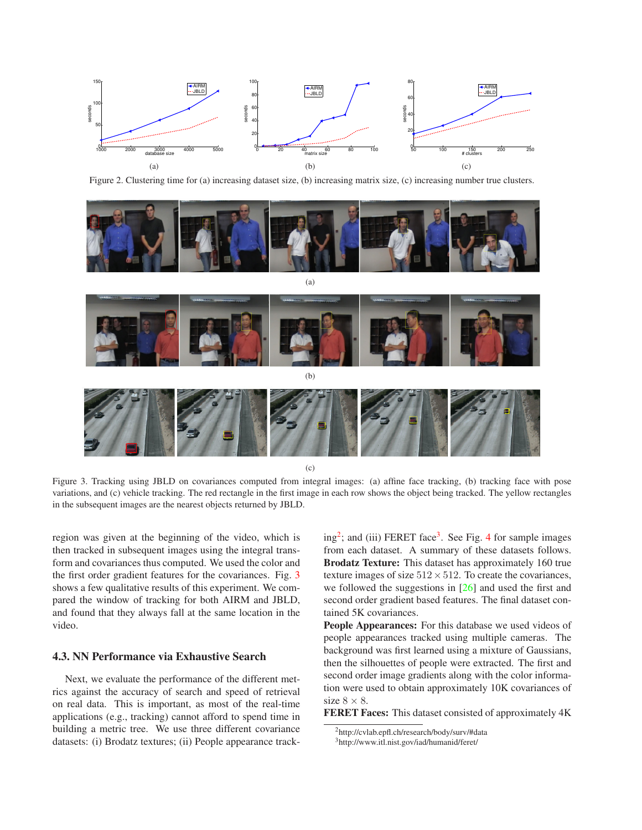<span id="page-5-4"></span>

<span id="page-5-0"></span>Figure 2. Clustering time for (a) increasing dataset size, (b) increasing matrix size, (c) increasing number true clusters.



(c)

<span id="page-5-1"></span>Figure 3. Tracking using JBLD on covariances computed from integral images: (a) affine face tracking, (b) tracking face with pose variations, and (c) vehicle tracking. The red rectangle in the first image in each row shows the object being tracked. The yellow rectangles in the subsequent images are the nearest objects returned by JBLD.

region was given at the beginning of the video, which is then tracked in subsequent images using the integral transform and covariances thus computed. We used the color and the first order gradient features for the covariances. Fig. [3](#page-5-1) shows a few qualitative results of this experiment. We compared the window of tracking for both AIRM and JBLD, and found that they always fall at the same location in the video.

### **4.3. NN Performance via Exhaustive Search**

Next, we evaluate the performance of the different metrics against the accuracy of search and speed of retrieval on real data. This is important, as most of the real-time applications (e.g., tracking) cannot afford to spend time in building a metric tree. We use three different covariance datasets: (i) Brodatz textures; (ii) People appearance track-

ing<sup>[2](#page-5-2)</sup>; and (iii) FERET face<sup>[3](#page-5-3)</sup>. See Fig. [4](#page-6-0) for sample images from each dataset. A summary of these datasets follows. **Brodatz Texture:** This dataset has approximately 160 true texture images of size  $512 \times 512$ . To create the covariances, we followed the suggestions in [\[26\]](#page-7-2) and used the first and second order gradient based features. The final dataset contained 5K covariances.

**People Appearances:** For this database we used videos of people appearances tracked using multiple cameras. The background was first learned using a mixture of Gaussians, then the silhouettes of people were extracted. The first and second order image gradients along with the color information were used to obtain approximately 10K covariances of size  $8 \times 8$ .

**FERET Faces:** This dataset consisted of approximately 4K

<sup>2</sup>http://cvlab.epfl.ch/research/body/surv/#data

<span id="page-5-3"></span><span id="page-5-2"></span><sup>3</sup>http://www.itl.nist.gov/iad/humanid/feret/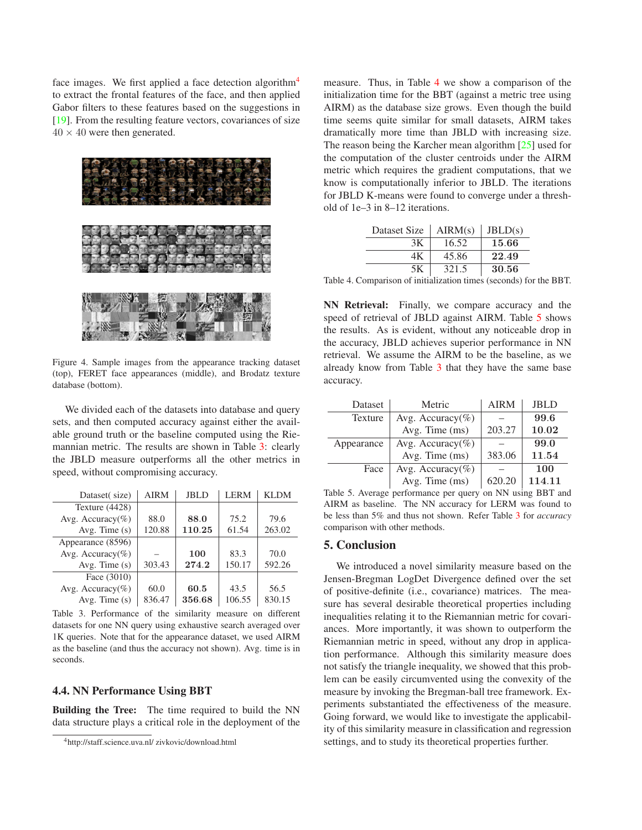<span id="page-6-5"></span>face images. We first applied a face detection algorithm<sup>[4](#page-6-1)</sup> to extract the frontal features of the face, and then applied Gabor filters to these features based on the suggestions in [\[19\]](#page-7-33). From the resulting feature vectors, covariances of size  $40 \times 40$  were then generated.



Figure 4. Sample images from the appearance tracking dataset (top), FERET face appearances (middle), and Brodatz texture database (bottom).

<span id="page-6-0"></span>We divided each of the datasets into database and query sets, and then computed accuracy against either the available ground truth or the baseline computed using the Riemannian metric. The results are shown in Table [3:](#page-6-2) clearly the JBLD measure outperforms all the other metrics in speed, without compromising accuracy.

| Dataset(size)        | <b>AIRM</b> | <b>JBLD</b> | <b>LERM</b> | <b>KLDM</b> |
|----------------------|-------------|-------------|-------------|-------------|
| Texture $(4428)$     |             |             |             |             |
| Avg. Accuracy $(\%)$ | 88.0        | 88.0        | 75.2        | 79.6        |
| Avg. Time $(s)$      | 120.88      | 110.25      | 61.54       | 263.02      |
| Appearance (8596)    |             |             |             |             |
| Avg. Accuracy $(\%)$ |             | 100         | 83.3        | 70.0        |
| Avg. Time $(s)$      | 303.43      | 274.2       | 150.17      | 592.26      |
| Face (3010)          |             |             |             |             |
| Avg. Accuracy $(\%)$ | 60.0        | 60.5        | 43.5        | 56.5        |
| Avg. Time $(s)$      | 836.47      | 356.68      | 106.55      | 830.15      |

<span id="page-6-2"></span>Table 3. Performance of the similarity measure on different datasets for one NN query using exhaustive search averaged over 1K queries. Note that for the appearance dataset, we used AIRM as the baseline (and thus the accuracy not shown). Avg. time is in seconds.

#### **4.4. NN Performance Using BBT**

**Building the Tree:** The time required to build the NN data structure plays a critical role in the deployment of the

measure. Thus, in Table [4](#page-6-3) we show a comparison of the initialization time for the BBT (against a metric tree using AIRM) as the database size grows. Even though the build time seems quite similar for small datasets, AIRM takes dramatically more time than JBLD with increasing size. The reason being the Karcher mean algorithm [\[25\]](#page-7-1) used for the computation of the cluster centroids under the AIRM metric which requires the gradient computations, that we know is computationally inferior to JBLD. The iterations for JBLD K-means were found to converge under a threshold of 1e–3 in 8–12 iterations.

| Dataset Size | AIRM(s) | JBLD(s) |
|--------------|---------|---------|
| 3K           | 16.52   | 15.66   |
| 4Κ           | 45.86   | 22.49   |
| 5Κ           | 321.5   | 30.56   |

<span id="page-6-3"></span>Table 4. Comparison of initialization times (seconds) for the BBT.

**NN Retrieval:** Finally, we compare accuracy and the speed of retrieval of JBLD against AIRM. Table [5](#page-6-4) shows the results. As is evident, without any noticeable drop in the accuracy, JBLD achieves superior performance in NN retrieval. We assume the AIRM to be the baseline, as we already know from Table [3](#page-6-2) that they have the same base accuracy.

| Dataset    | Metric               | <b>AIRM</b> | <b>JBLD</b> |
|------------|----------------------|-------------|-------------|
| Texture    | Avg. Accuracy $(\%)$ |             | 99.6        |
|            | Avg. Time $(ms)$     | 203.27      | 10.02       |
| Appearance | Avg. Accuracy(%)     |             | 99.0        |
|            | Avg. Time (ms)       | 383.06      | 11.54       |
| Face       | Avg. Accuracy $(\%)$ |             | 100         |
|            | Avg. Time (ms)       | 620.20      | 114.11      |

<span id="page-6-4"></span>Table 5. Average performance per query on NN using BBT and AIRM as baseline. The NN accuracy for LERM was found to be less than 5% and thus not shown. Refer Table [3](#page-6-2) for *accuracy* comparison with other methods.

#### **5. Conclusion**

We introduced a novel similarity measure based on the Jensen-Bregman LogDet Divergence defined over the set of positive-definite (i.e., covariance) matrices. The measure has several desirable theoretical properties including inequalities relating it to the Riemannian metric for covariances. More importantly, it was shown to outperform the Riemannian metric in speed, without any drop in application performance. Although this similarity measure does not satisfy the triangle inequality, we showed that this problem can be easily circumvented using the convexity of the measure by invoking the Bregman-ball tree framework. Experiments substantiated the effectiveness of the measure. Going forward, we would like to investigate the applicability of this similarity measure in classification and regression settings, and to study its theoretical properties further.

<span id="page-6-1"></span><sup>4</sup>http://staff.science.uva.nl/ zivkovic/download.html